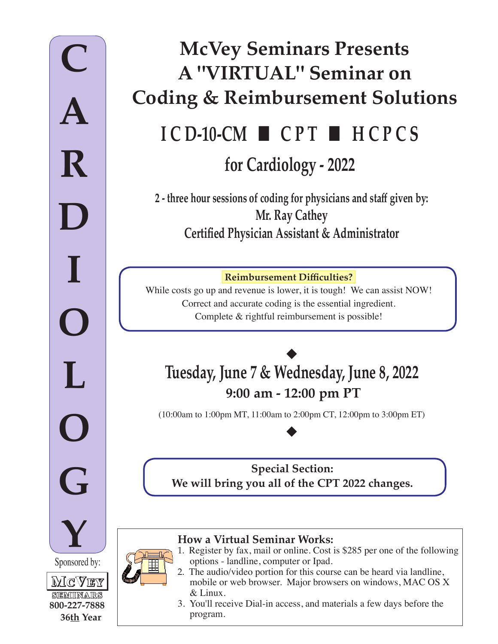# **for Cardiology - 2022 I C D-10-CM** ■ **C P T** ■ **H C P C S McVey Seminars Presents A "VIRTUAL" Seminar on Coding & Reimbursement Solutions**

**2 - three hour sessions of coding for physicians and staff given by: Mr. Ray Cathey Certified Physician Assistant & Administrator**

**Reimbursement Difficulties?**

While costs go up and revenue is lower, it is tough! We can assist NOW! Correct and accurate coding is the essential ingredient. Complete & rightful reimbursement is possible!

# ◆ **Tuesday, June 7 & Wednesday, June 8, 2022 9:00 am - 12:00 pm PT**

(10:00am to 1:00pm MT, 11:00am to 2:00pm CT, 12:00pm to 3:00pm ET)

◆

**Special Section: We will bring you all of the CPT 2022 changes.** 

#### **How a Virtual Seminar Works:** 1. Register by fax, mail or online. Cost is \$285 per one of the following

options - landline, computer or Ipad.

SEMINARS **800-227-7888**

**36th Year**

- 2. The audio/video portion for this course can be heard via landline, mobile or web browser. Major browsers on windows, MAC OS X & Linux.
- 3. You'll receive Dial-in access, and materials a few days before the program.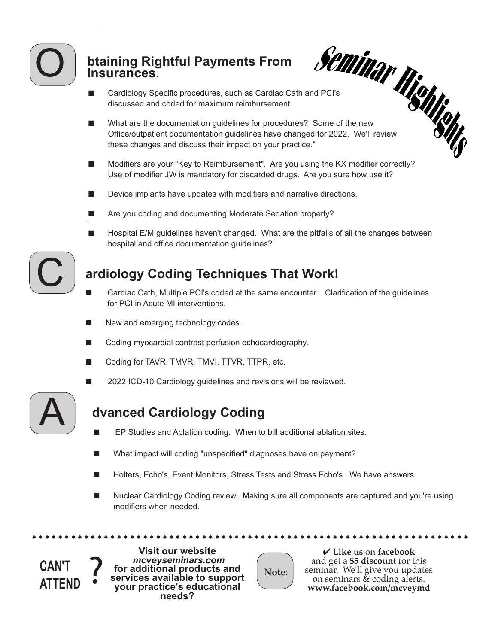

### **btaining Rightful Payments From Insurances.**

- 
- discussed and coded for maximum reimbursement.
- **Staining Rightful Payments From**<br>
Insurances.<br>
Cardiology Specific procedures, such as Cardiac Cath and PCI's<br>
Cardiology Specific procedures, such as Cardiac Cath and PCI's<br>
Cardiology Specific procedures, such as Cardia ■ What are the documentation guidelines for procedures? Some of the new Office/outpatient documentation guidelines have changed for 2022. We'll review these changes and discuss their impact on your practice."
- Modifiers are your "Key to Reimbursement". Are you using the KX modifier correctly? Use of modifier JW is mandatory for discarded drugs. Are you sure how use it?
- Device implants have updates with modifiers and narrative directions.
- Are you coding and documenting Moderate Sedation properly?
- Hospital E/M guidelines haven't changed. What are the pitfalls of all the changes between hospital and office documentation guidelines?



# **ardiology Coding Techniques That Work!**

- Cardiac Cath, Multiple PCI's coded at the same encounter. Clarification of the guidelines for PCI in Acute MI interventions.
- New and emerging technology codes.
- Coding myocardial contrast perfusion echocardiography.
- Coding for TAVR, TMVR, TMVI, TTVR, TTPR, etc.
- 2022 ICD-10 Cardiology guidelines and revisions will be reviewed.



## **dvanced Cardiology Coding**

- EP Studies and Ablation coding. When to bill additional ablation sites.
- What impact will coding "unspecified" diagnoses have on payment?
- Holters, Echo's, Event Monitors, Stress Tests and Stress Echo's. We have answers.
- Nuclear Cardiology Coding review. Making sure all components are captured and you're using modifiers when needed.

can't ?<br>attend ? **ATTEND**

**Visit our website** for additional products and **services available to support your practice's educational needs?**

**Note**:

4 **Like us** on **facebook** and get a **\$5 discount** for this seminar. We'll give you updates on seminars & coding alerts. **www.facebook.com/mcveymd**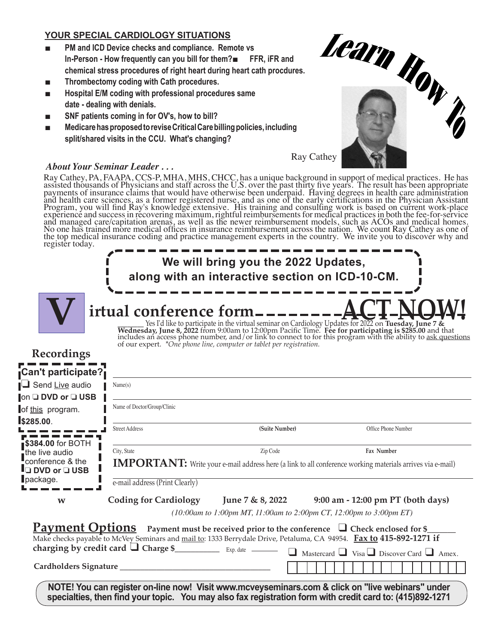#### **YOUR SPECIAL CARDIOLOGY SITUATIONS**

- **PM and ICD Device checks and compliance. Remote vs In-Person - How frequently can you bill for them?**■ **FFR, iFR and chemical stress procedures of right heart during heart cath procdures.**
- **Thrombectomy coding with Cath procedures.**
- **Hospital E/M coding with professional procedures same date - dealing with denials.**
- **SNF patients coming in for OV's, how to bill?**
- **Medicare has proposed to revise Critical Care billing policies, including split/shared visits in the CCU. What's changing?**



#### *About Your Seminar Leader . . .*

Ray Cathey, PA, FAAPA, CCS-P, MHA, MHS, CHCC, has a unique background in support of medical practices. He has assisted thousands of Physicians and staff across the U.S. over the past thirty five years. The result has been appropriate payments of insurance claims that would have otherwise been underpaid. Having degrees in health care administration and health care sciences, as a former registered nurse, and as one of the early certifications in the Physician Assistant Program, you will find Ray's knowledge extensive. His training and consulting work is based on current work-place experience and success in recovering maximum, rightful reimbursements for medical practices in both the fee-for-service and managed care/capitation arenas, as well as the newer reimbursement models, such as ACOs and medical homes. No one has trained more medical offices in insurance reimbursement across the nation. We count Ray Cathey as one of the top medical insurance coding and practice management experts in the country. We invite you to discover why and register today.

| Name(s)                                       |                |                                                                                                                                                                                                                                                                                                                                                                                                                                                                                                                                                                                                                                                                                                                                                                                                                                                                                                                                                                                                                                                                                                                                                          |
|-----------------------------------------------|----------------|----------------------------------------------------------------------------------------------------------------------------------------------------------------------------------------------------------------------------------------------------------------------------------------------------------------------------------------------------------------------------------------------------------------------------------------------------------------------------------------------------------------------------------------------------------------------------------------------------------------------------------------------------------------------------------------------------------------------------------------------------------------------------------------------------------------------------------------------------------------------------------------------------------------------------------------------------------------------------------------------------------------------------------------------------------------------------------------------------------------------------------------------------------|
| Name of Doctor/Group/Clinic                   |                |                                                                                                                                                                                                                                                                                                                                                                                                                                                                                                                                                                                                                                                                                                                                                                                                                                                                                                                                                                                                                                                                                                                                                          |
| <b>Street Address</b>                         | (Suite Number) | Office Phone Number                                                                                                                                                                                                                                                                                                                                                                                                                                                                                                                                                                                                                                                                                                                                                                                                                                                                                                                                                                                                                                                                                                                                      |
| City, State<br>e-mail address (Print Clearly) | Zip Code       | Fax Number                                                                                                                                                                                                                                                                                                                                                                                                                                                                                                                                                                                                                                                                                                                                                                                                                                                                                                                                                                                                                                                                                                                                               |
|                                               |                |                                                                                                                                                                                                                                                                                                                                                                                                                                                                                                                                                                                                                                                                                                                                                                                                                                                                                                                                                                                                                                                                                                                                                          |
|                                               |                | $\Box$ Mastercard $\Box$ Visa $\Box$ Discover Card $\Box$ Amex.                                                                                                                                                                                                                                                                                                                                                                                                                                                                                                                                                                                                                                                                                                                                                                                                                                                                                                                                                                                                                                                                                          |
|                                               |                | We will bring you the 2022 Updates,<br>along with an interactive section on ICD-10-CM.<br>irtual conference form--------<br>Yes I'd like to participate in the virtual seminar on Cardiology Updates for 2022 on Tuesday, June 7 & Wednesday, June 8, 2022 from 9:00am to 12:00pm Pacific Time. Fee for participating is \$285.00 and that includes an acce<br>of our expert. *One phone line, computer or tablet per registration.<br><b>IMPORTANT:</b> Write your e-mail address here (a link to all conference working materials arrives via e-mail)<br>Coding for Cardiology June 7 & 8, 2022 9:00 am - 12:00 pm PT (both days)<br>(10:00am to 1:00pm MT, 11:00am to 2:00pm CT, 12:00pm to 3:00pm ET)<br><b>Payment Options</b> Payment must be received prior to the conference $\Box$ Check enclosed for \$<br>Make checks payable to McVey Seminars and mail to: 1333 Berrydale Drive, Petaluma, CA 94954. Fax to 415-892-1271 if<br>NOTE! You can register on-line now! Visit www.mcveyseminars.com & click on "live webinars" under<br>specialties, then find your topic. You may also fax registration form with credit card to: (415)892-1271 |